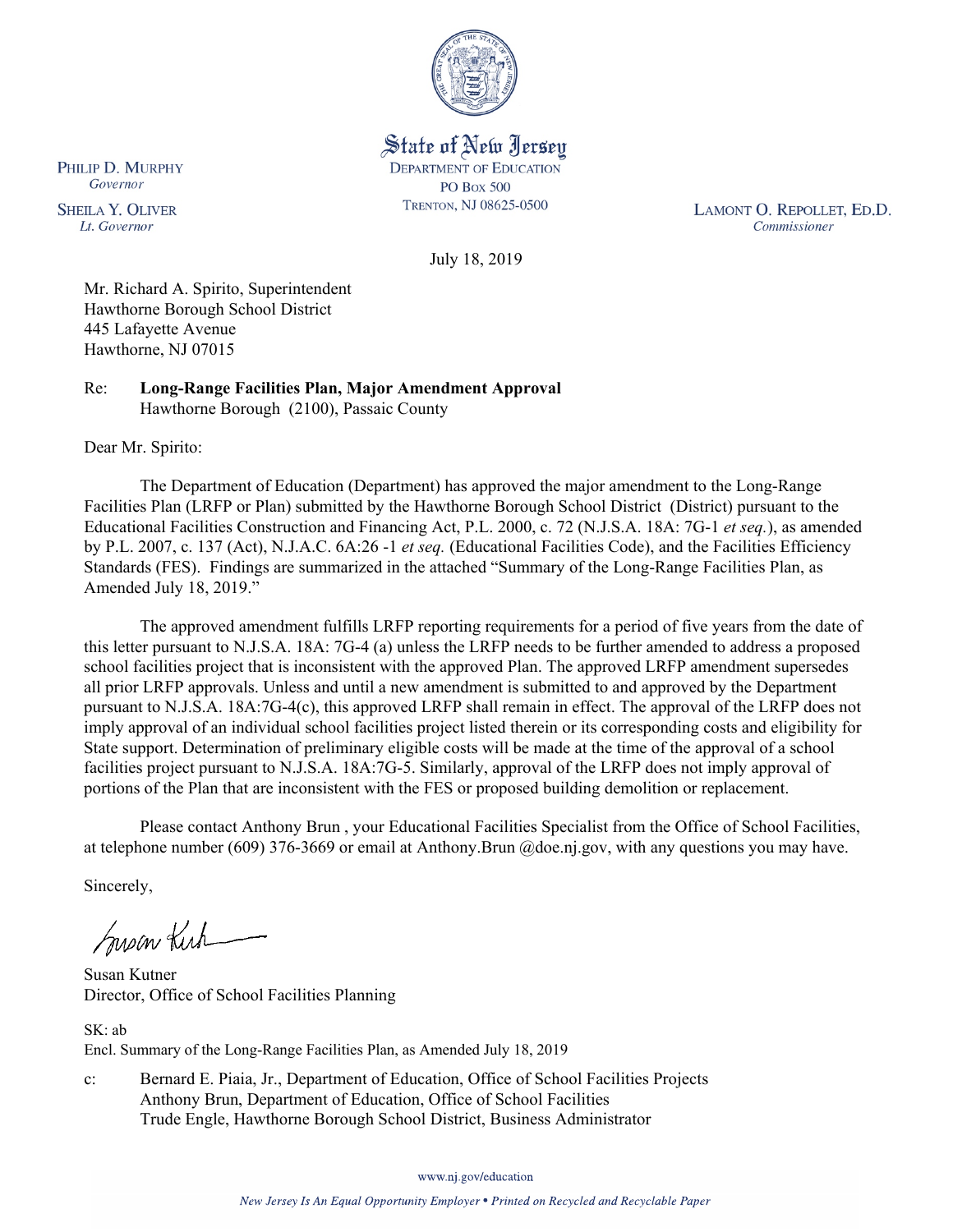

State of New Jersey **DEPARTMENT OF EDUCATION PO Box 500** TRENTON, NJ 08625-0500

LAMONT O. REPOLLET, ED.D. Commissioner

July 18, 2019

Mr. Richard A. Spirito, Superintendent Hawthorne Borough School District 445 Lafayette Avenue Hawthorne, NJ 07015

Re: **Long-Range Facilities Plan, Major Amendment Approval** Hawthorne Borough (2100), Passaic County

Dear Mr. Spirito:

PHILIP D. MURPHY Governor

**SHEILA Y. OLIVER** 

Lt. Governor

The Department of Education (Department) has approved the major amendment to the Long-Range Facilities Plan (LRFP or Plan) submitted by the Hawthorne Borough School District (District) pursuant to the Educational Facilities Construction and Financing Act, P.L. 2000, c. 72 (N.J.S.A. 18A: 7G-1 *et seq.*), as amended by P.L. 2007, c. 137 (Act), N.J.A.C. 6A:26 -1 *et seq.* (Educational Facilities Code), and the Facilities Efficiency Standards (FES). Findings are summarized in the attached "Summary of the Long-Range Facilities Plan, as Amended July 18, 2019."

The approved amendment fulfills LRFP reporting requirements for a period of five years from the date of this letter pursuant to N.J.S.A. 18A: 7G-4 (a) unless the LRFP needs to be further amended to address a proposed school facilities project that is inconsistent with the approved Plan. The approved LRFP amendment supersedes all prior LRFP approvals. Unless and until a new amendment is submitted to and approved by the Department pursuant to N.J.S.A. 18A:7G-4(c), this approved LRFP shall remain in effect. The approval of the LRFP does not imply approval of an individual school facilities project listed therein or its corresponding costs and eligibility for State support. Determination of preliminary eligible costs will be made at the time of the approval of a school facilities project pursuant to N.J.S.A. 18A:7G-5. Similarly, approval of the LRFP does not imply approval of portions of the Plan that are inconsistent with the FES or proposed building demolition or replacement.

Please contact Anthony Brun , your Educational Facilities Specialist from the Office of School Facilities, at telephone number (609) 376-3669 or email at Anthony.Brun @doe.nj.gov, with any questions you may have.

Sincerely,

Susan Kich

Susan Kutner Director, Office of School Facilities Planning

SK: ab Encl. Summary of the Long-Range Facilities Plan, as Amended July 18, 2019

c: Bernard E. Piaia, Jr., Department of Education, Office of School Facilities Projects Anthony Brun, Department of Education, Office of School Facilities Trude Engle, Hawthorne Borough School District, Business Administrator

www.nj.gov/education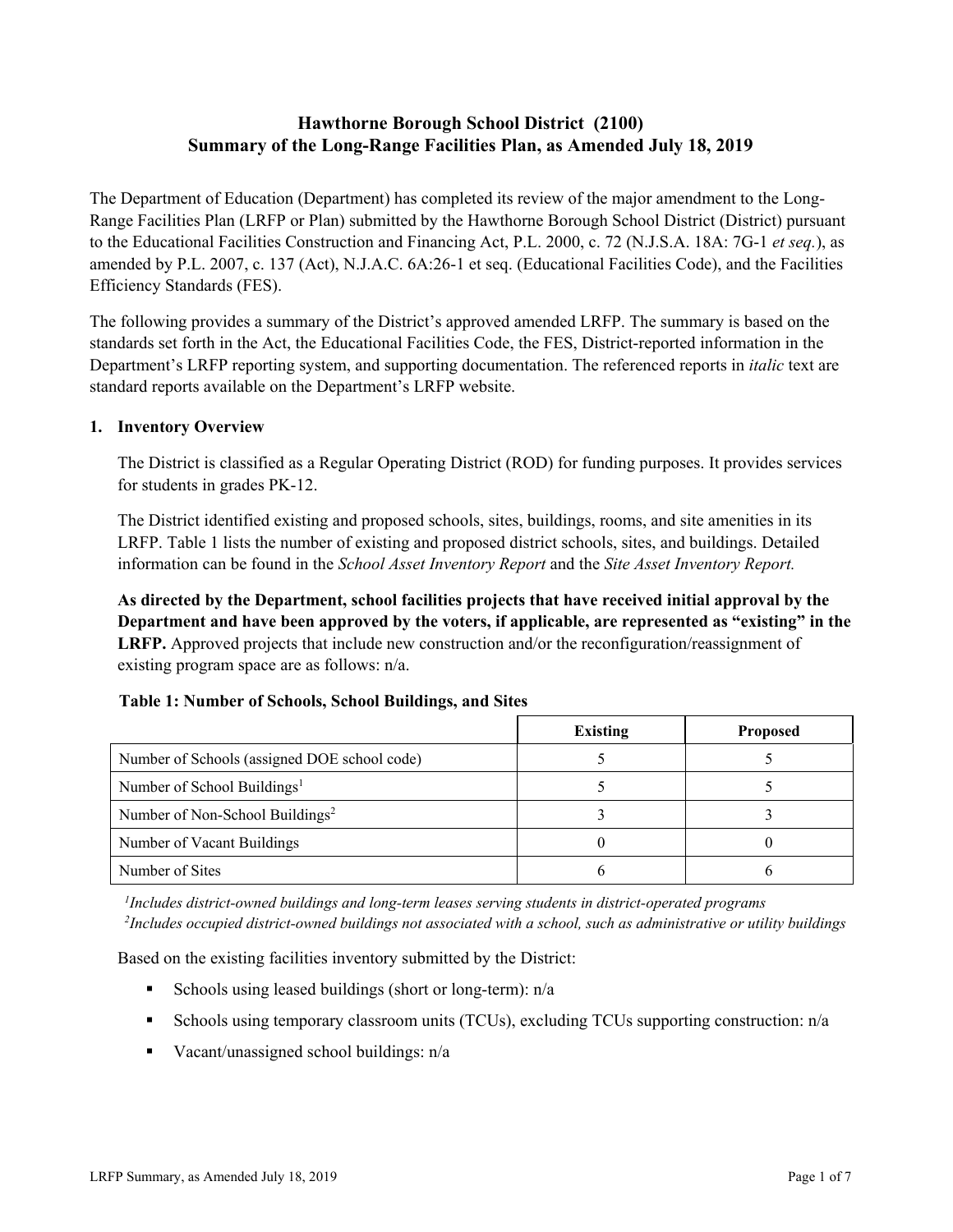# **Hawthorne Borough School District (2100) Summary of the Long-Range Facilities Plan, as Amended July 18, 2019**

The Department of Education (Department) has completed its review of the major amendment to the Long-Range Facilities Plan (LRFP or Plan) submitted by the Hawthorne Borough School District (District) pursuant to the Educational Facilities Construction and Financing Act, P.L. 2000, c. 72 (N.J.S.A. 18A: 7G-1 *et seq.*), as amended by P.L. 2007, c. 137 (Act), N.J.A.C. 6A:26-1 et seq. (Educational Facilities Code), and the Facilities Efficiency Standards (FES).

The following provides a summary of the District's approved amended LRFP. The summary is based on the standards set forth in the Act, the Educational Facilities Code, the FES, District-reported information in the Department's LRFP reporting system, and supporting documentation. The referenced reports in *italic* text are standard reports available on the Department's LRFP website.

### **1. Inventory Overview**

The District is classified as a Regular Operating District (ROD) for funding purposes. It provides services for students in grades PK-12.

The District identified existing and proposed schools, sites, buildings, rooms, and site amenities in its LRFP. Table 1 lists the number of existing and proposed district schools, sites, and buildings. Detailed information can be found in the *School Asset Inventory Report* and the *Site Asset Inventory Report.*

**As directed by the Department, school facilities projects that have received initial approval by the Department and have been approved by the voters, if applicable, are represented as "existing" in the LRFP.** Approved projects that include new construction and/or the reconfiguration/reassignment of existing program space are as follows: n/a.

### **Table 1: Number of Schools, School Buildings, and Sites**

|                                              | <b>Existing</b> | <b>Proposed</b> |
|----------------------------------------------|-----------------|-----------------|
| Number of Schools (assigned DOE school code) |                 |                 |
| Number of School Buildings <sup>1</sup>      |                 |                 |
| Number of Non-School Buildings <sup>2</sup>  |                 |                 |
| Number of Vacant Buildings                   |                 |                 |
| Number of Sites                              |                 |                 |

*1 Includes district-owned buildings and long-term leases serving students in district-operated programs 2 Includes occupied district-owned buildings not associated with a school, such as administrative or utility buildings*

Based on the existing facilities inventory submitted by the District:

- Schools using leased buildings (short or long-term):  $n/a$
- Schools using temporary classroom units (TCUs), excluding TCUs supporting construction: n/a
- Vacant/unassigned school buildings:  $n/a$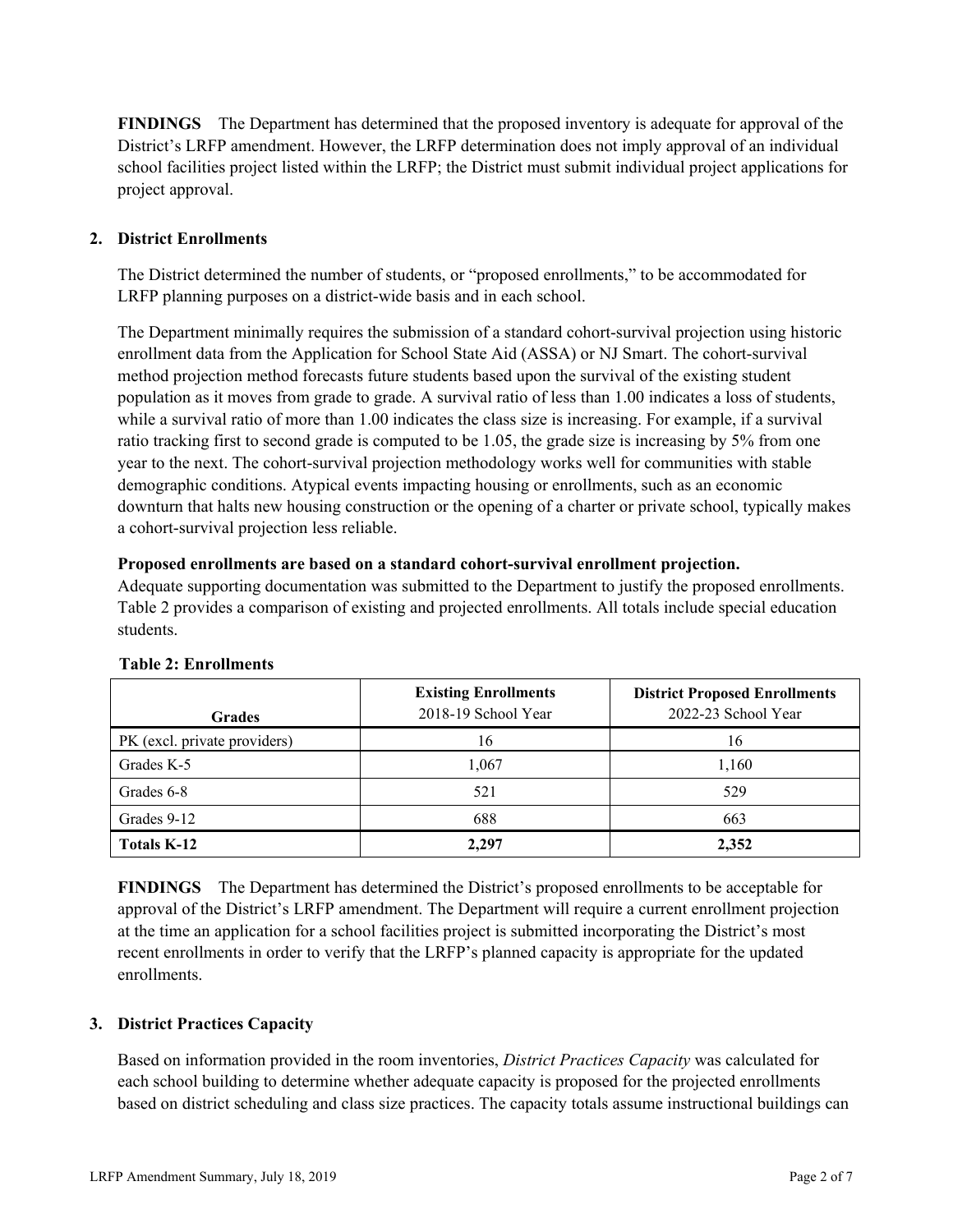**FINDINGS** The Department has determined that the proposed inventory is adequate for approval of the District's LRFP amendment. However, the LRFP determination does not imply approval of an individual school facilities project listed within the LRFP; the District must submit individual project applications for project approval.

# **2. District Enrollments**

The District determined the number of students, or "proposed enrollments," to be accommodated for LRFP planning purposes on a district-wide basis and in each school.

The Department minimally requires the submission of a standard cohort-survival projection using historic enrollment data from the Application for School State Aid (ASSA) or NJ Smart. The cohort-survival method projection method forecasts future students based upon the survival of the existing student population as it moves from grade to grade. A survival ratio of less than 1.00 indicates a loss of students, while a survival ratio of more than 1.00 indicates the class size is increasing. For example, if a survival ratio tracking first to second grade is computed to be 1.05, the grade size is increasing by 5% from one year to the next. The cohort-survival projection methodology works well for communities with stable demographic conditions. Atypical events impacting housing or enrollments, such as an economic downturn that halts new housing construction or the opening of a charter or private school, typically makes a cohort-survival projection less reliable.

### **Proposed enrollments are based on a standard cohort-survival enrollment projection.**

Adequate supporting documentation was submitted to the Department to justify the proposed enrollments. Table 2 provides a comparison of existing and projected enrollments. All totals include special education students.

| <b>Grades</b>                | <b>Existing Enrollments</b><br>2018-19 School Year | <b>District Proposed Enrollments</b><br>2022-23 School Year |
|------------------------------|----------------------------------------------------|-------------------------------------------------------------|
| PK (excl. private providers) | 16                                                 | 16                                                          |
| Grades K-5                   | 1,067                                              | 1,160                                                       |
| Grades 6-8                   | 521                                                | 529                                                         |
| Grades 9-12                  | 688                                                | 663                                                         |
| <b>Totals K-12</b>           | 2.297                                              | 2,352                                                       |

### **Table 2: Enrollments**

**FINDINGS** The Department has determined the District's proposed enrollments to be acceptable for approval of the District's LRFP amendment. The Department will require a current enrollment projection at the time an application for a school facilities project is submitted incorporating the District's most recent enrollments in order to verify that the LRFP's planned capacity is appropriate for the updated enrollments.

### **3. District Practices Capacity**

Based on information provided in the room inventories, *District Practices Capacity* was calculated for each school building to determine whether adequate capacity is proposed for the projected enrollments based on district scheduling and class size practices. The capacity totals assume instructional buildings can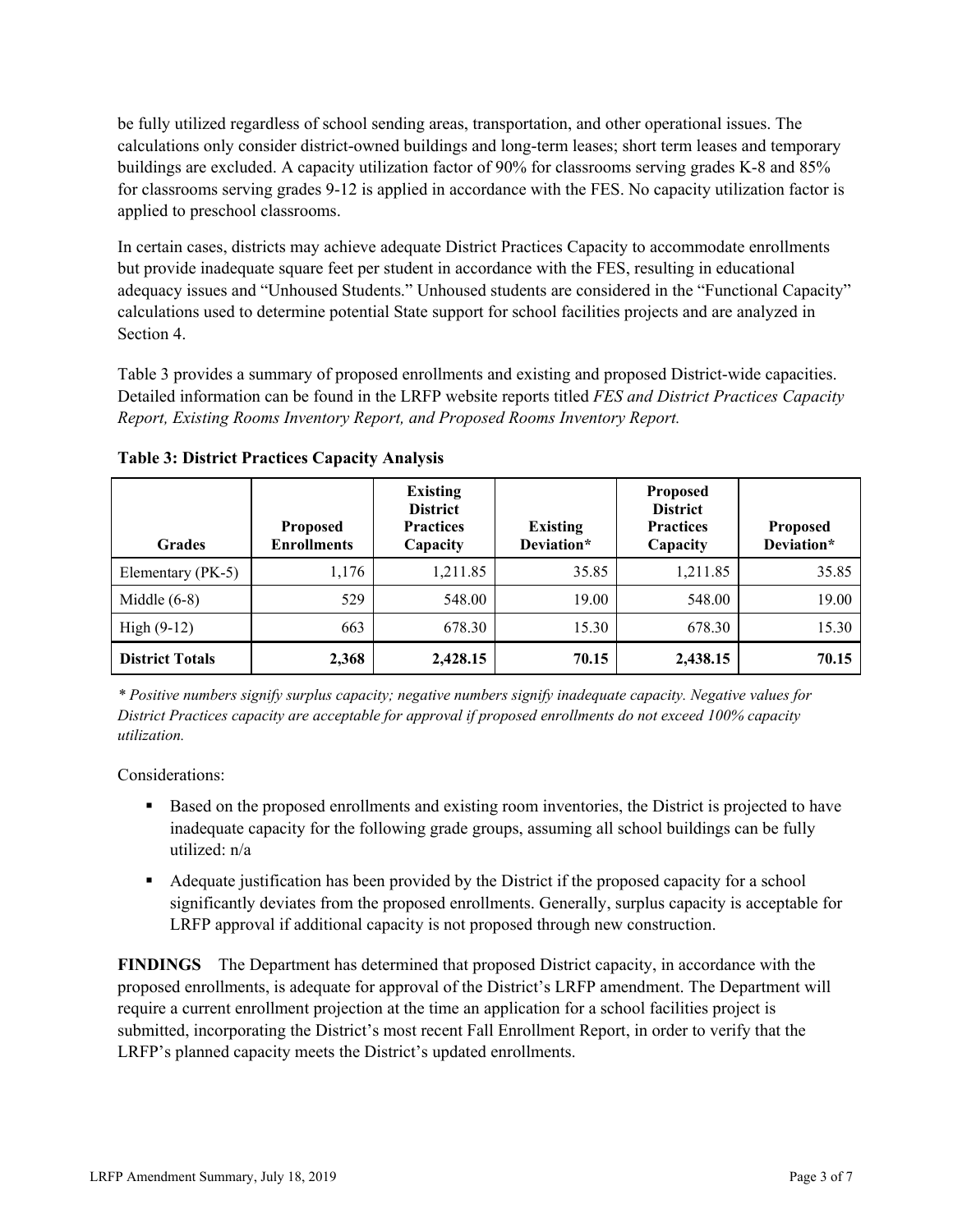be fully utilized regardless of school sending areas, transportation, and other operational issues. The calculations only consider district-owned buildings and long-term leases; short term leases and temporary buildings are excluded. A capacity utilization factor of 90% for classrooms serving grades K-8 and 85% for classrooms serving grades 9-12 is applied in accordance with the FES. No capacity utilization factor is applied to preschool classrooms.

In certain cases, districts may achieve adequate District Practices Capacity to accommodate enrollments but provide inadequate square feet per student in accordance with the FES, resulting in educational adequacy issues and "Unhoused Students." Unhoused students are considered in the "Functional Capacity" calculations used to determine potential State support for school facilities projects and are analyzed in Section 4.

Table 3 provides a summary of proposed enrollments and existing and proposed District-wide capacities. Detailed information can be found in the LRFP website reports titled *FES and District Practices Capacity Report, Existing Rooms Inventory Report, and Proposed Rooms Inventory Report.*

| <b>Grades</b>          | <b>Proposed</b><br><b>Enrollments</b> | <b>Existing</b><br><b>District</b><br><b>Practices</b><br>Capacity | <b>Existing</b><br>Deviation* | <b>Proposed</b><br><b>District</b><br><b>Practices</b><br>Capacity | <b>Proposed</b><br>Deviation* |
|------------------------|---------------------------------------|--------------------------------------------------------------------|-------------------------------|--------------------------------------------------------------------|-------------------------------|
| Elementary (PK-5)      | 1,176                                 | 1,211.85                                                           | 35.85                         | 1,211.85                                                           | 35.85                         |
| Middle $(6-8)$         | 529                                   | 548.00                                                             | 19.00                         | 548.00                                                             | 19.00                         |
| High $(9-12)$          | 663                                   | 678.30                                                             | 15.30                         | 678.30                                                             | 15.30                         |
| <b>District Totals</b> | 2,368                                 | 2,428.15                                                           | 70.15                         | 2,438.15                                                           | 70.15                         |

**Table 3: District Practices Capacity Analysis**

*\* Positive numbers signify surplus capacity; negative numbers signify inadequate capacity. Negative values for District Practices capacity are acceptable for approval if proposed enrollments do not exceed 100% capacity utilization.*

Considerations:

- Based on the proposed enrollments and existing room inventories, the District is projected to have inadequate capacity for the following grade groups, assuming all school buildings can be fully utilized: n/a
- Adequate justification has been provided by the District if the proposed capacity for a school significantly deviates from the proposed enrollments. Generally, surplus capacity is acceptable for LRFP approval if additional capacity is not proposed through new construction.

**FINDINGS**The Department has determined that proposed District capacity, in accordance with the proposed enrollments, is adequate for approval of the District's LRFP amendment. The Department will require a current enrollment projection at the time an application for a school facilities project is submitted, incorporating the District's most recent Fall Enrollment Report, in order to verify that the LRFP's planned capacity meets the District's updated enrollments.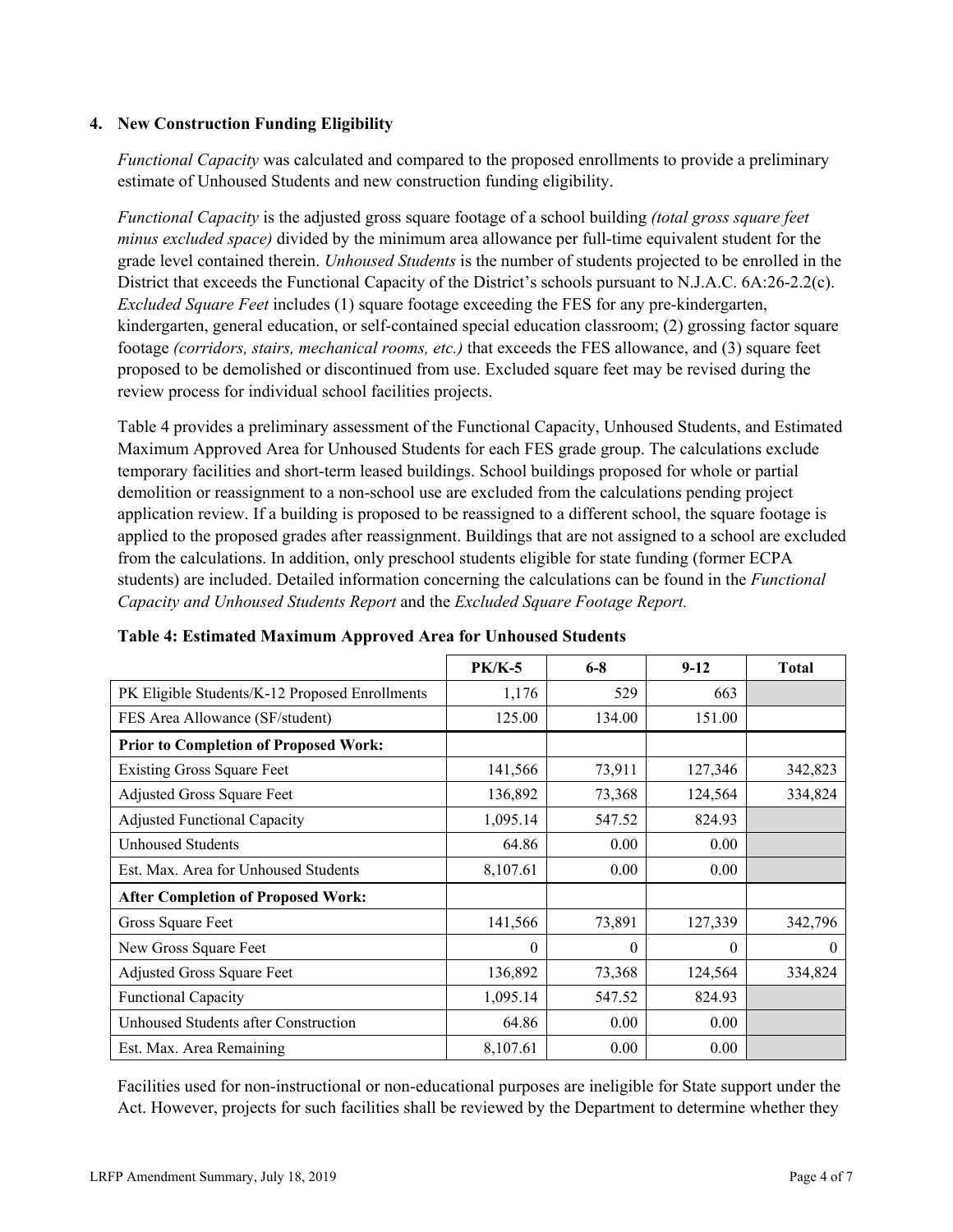### **4. New Construction Funding Eligibility**

*Functional Capacity* was calculated and compared to the proposed enrollments to provide a preliminary estimate of Unhoused Students and new construction funding eligibility.

*Functional Capacity* is the adjusted gross square footage of a school building *(total gross square feet minus excluded space)* divided by the minimum area allowance per full-time equivalent student for the grade level contained therein. *Unhoused Students* is the number of students projected to be enrolled in the District that exceeds the Functional Capacity of the District's schools pursuant to N.J.A.C. 6A:26-2.2(c). *Excluded Square Feet* includes (1) square footage exceeding the FES for any pre-kindergarten, kindergarten, general education, or self-contained special education classroom; (2) grossing factor square footage *(corridors, stairs, mechanical rooms, etc.)* that exceeds the FES allowance, and (3) square feet proposed to be demolished or discontinued from use. Excluded square feet may be revised during the review process for individual school facilities projects.

Table 4 provides a preliminary assessment of the Functional Capacity, Unhoused Students, and Estimated Maximum Approved Area for Unhoused Students for each FES grade group. The calculations exclude temporary facilities and short-term leased buildings. School buildings proposed for whole or partial demolition or reassignment to a non-school use are excluded from the calculations pending project application review. If a building is proposed to be reassigned to a different school, the square footage is applied to the proposed grades after reassignment. Buildings that are not assigned to a school are excluded from the calculations. In addition, only preschool students eligible for state funding (former ECPA students) are included. Detailed information concerning the calculations can be found in the *Functional Capacity and Unhoused Students Report* and the *Excluded Square Footage Report.*

|                                                | $PK/K-5$ | $6 - 8$  | $9-12$   | <b>Total</b> |
|------------------------------------------------|----------|----------|----------|--------------|
| PK Eligible Students/K-12 Proposed Enrollments | 1,176    | 529      | 663      |              |
| FES Area Allowance (SF/student)                | 125.00   | 134.00   | 151.00   |              |
| <b>Prior to Completion of Proposed Work:</b>   |          |          |          |              |
| <b>Existing Gross Square Feet</b>              | 141,566  | 73,911   | 127,346  | 342,823      |
| Adjusted Gross Square Feet                     | 136,892  | 73,368   | 124,564  | 334,824      |
| <b>Adjusted Functional Capacity</b>            | 1,095.14 | 547.52   | 824.93   |              |
| Unhoused Students                              | 64.86    | 0.00     | 0.00     |              |
| Est. Max. Area for Unhoused Students           | 8,107.61 | 0.00     | 0.00     |              |
| <b>After Completion of Proposed Work:</b>      |          |          |          |              |
| Gross Square Feet                              | 141,566  | 73,891   | 127,339  | 342,796      |
| New Gross Square Feet                          | $\theta$ | $\theta$ | $\theta$ | $\theta$     |
| Adjusted Gross Square Feet                     | 136,892  | 73,368   | 124,564  | 334,824      |
| <b>Functional Capacity</b>                     | 1,095.14 | 547.52   | 824.93   |              |
| Unhoused Students after Construction           | 64.86    | 0.00     | 0.00     |              |
| Est. Max. Area Remaining                       | 8,107.61 | 0.00     | 0.00     |              |

### **Table 4: Estimated Maximum Approved Area for Unhoused Students**

Facilities used for non-instructional or non-educational purposes are ineligible for State support under the Act. However, projects for such facilities shall be reviewed by the Department to determine whether they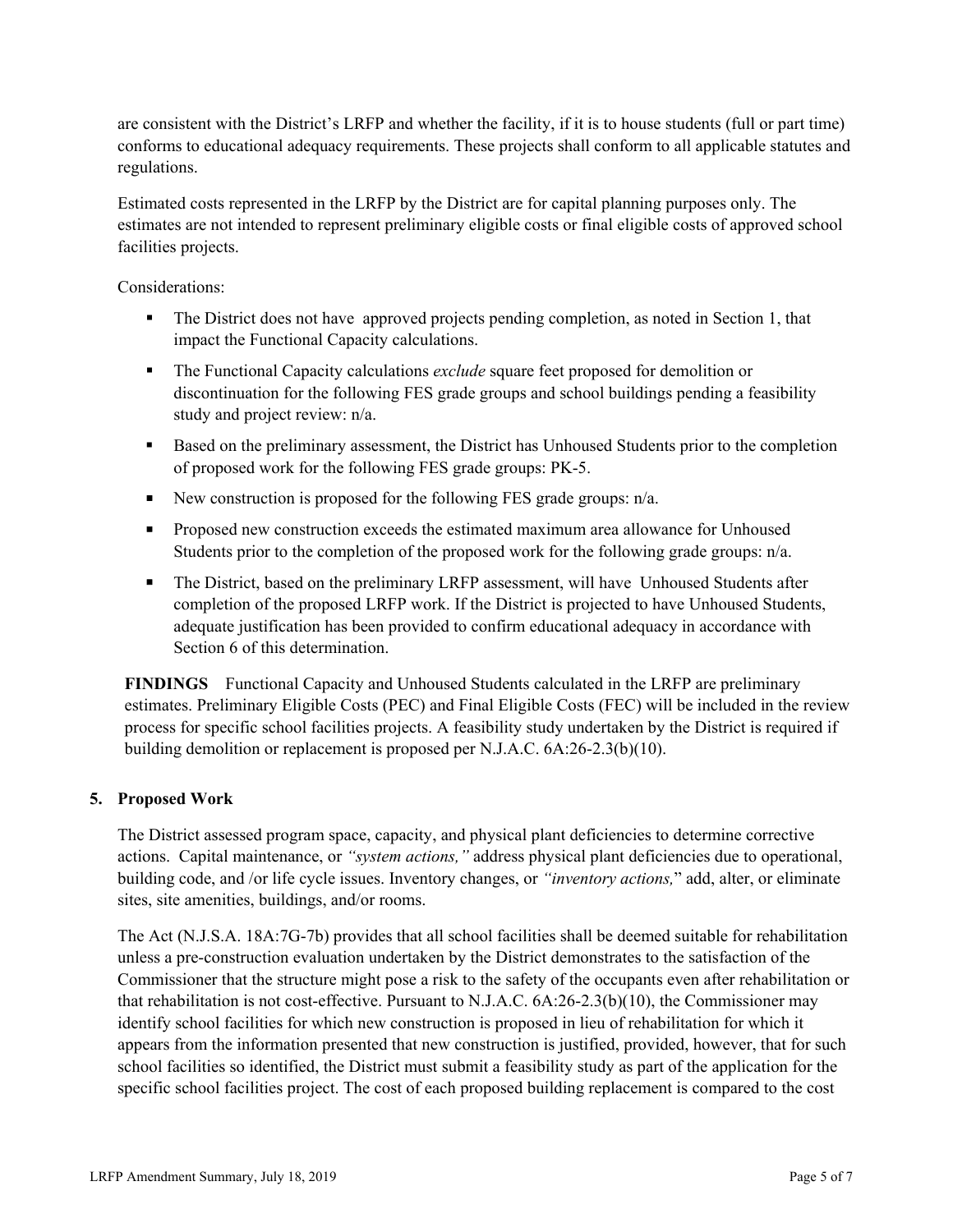are consistent with the District's LRFP and whether the facility, if it is to house students (full or part time) conforms to educational adequacy requirements. These projects shall conform to all applicable statutes and regulations.

Estimated costs represented in the LRFP by the District are for capital planning purposes only. The estimates are not intended to represent preliminary eligible costs or final eligible costs of approved school facilities projects.

Considerations:

- The District does not have approved projects pending completion, as noted in Section 1, that impact the Functional Capacity calculations.
- The Functional Capacity calculations *exclude* square feet proposed for demolition or discontinuation for the following FES grade groups and school buildings pending a feasibility study and project review: n/a.
- Based on the preliminary assessment, the District has Unhoused Students prior to the completion of proposed work for the following FES grade groups: PK-5.
- New construction is proposed for the following FES grade groups:  $n/a$ .
- **Proposed new construction exceeds the estimated maximum area allowance for Unhoused** Students prior to the completion of the proposed work for the following grade groups: n/a.
- The District, based on the preliminary LRFP assessment, will have Unhoused Students after completion of the proposed LRFP work. If the District is projected to have Unhoused Students, adequate justification has been provided to confirm educational adequacy in accordance with Section 6 of this determination.

**FINDINGS** Functional Capacity and Unhoused Students calculated in the LRFP are preliminary estimates. Preliminary Eligible Costs (PEC) and Final Eligible Costs (FEC) will be included in the review process for specific school facilities projects. A feasibility study undertaken by the District is required if building demolition or replacement is proposed per N.J.A.C. 6A:26-2.3(b)(10).

### **5. Proposed Work**

The District assessed program space, capacity, and physical plant deficiencies to determine corrective actions. Capital maintenance, or *"system actions,"* address physical plant deficiencies due to operational, building code, and /or life cycle issues. Inventory changes, or *"inventory actions,*" add, alter, or eliminate sites, site amenities, buildings, and/or rooms.

The Act (N.J.S.A. 18A:7G-7b) provides that all school facilities shall be deemed suitable for rehabilitation unless a pre-construction evaluation undertaken by the District demonstrates to the satisfaction of the Commissioner that the structure might pose a risk to the safety of the occupants even after rehabilitation or that rehabilitation is not cost-effective. Pursuant to N.J.A.C. 6A:26-2.3(b)(10), the Commissioner may identify school facilities for which new construction is proposed in lieu of rehabilitation for which it appears from the information presented that new construction is justified, provided, however, that for such school facilities so identified, the District must submit a feasibility study as part of the application for the specific school facilities project. The cost of each proposed building replacement is compared to the cost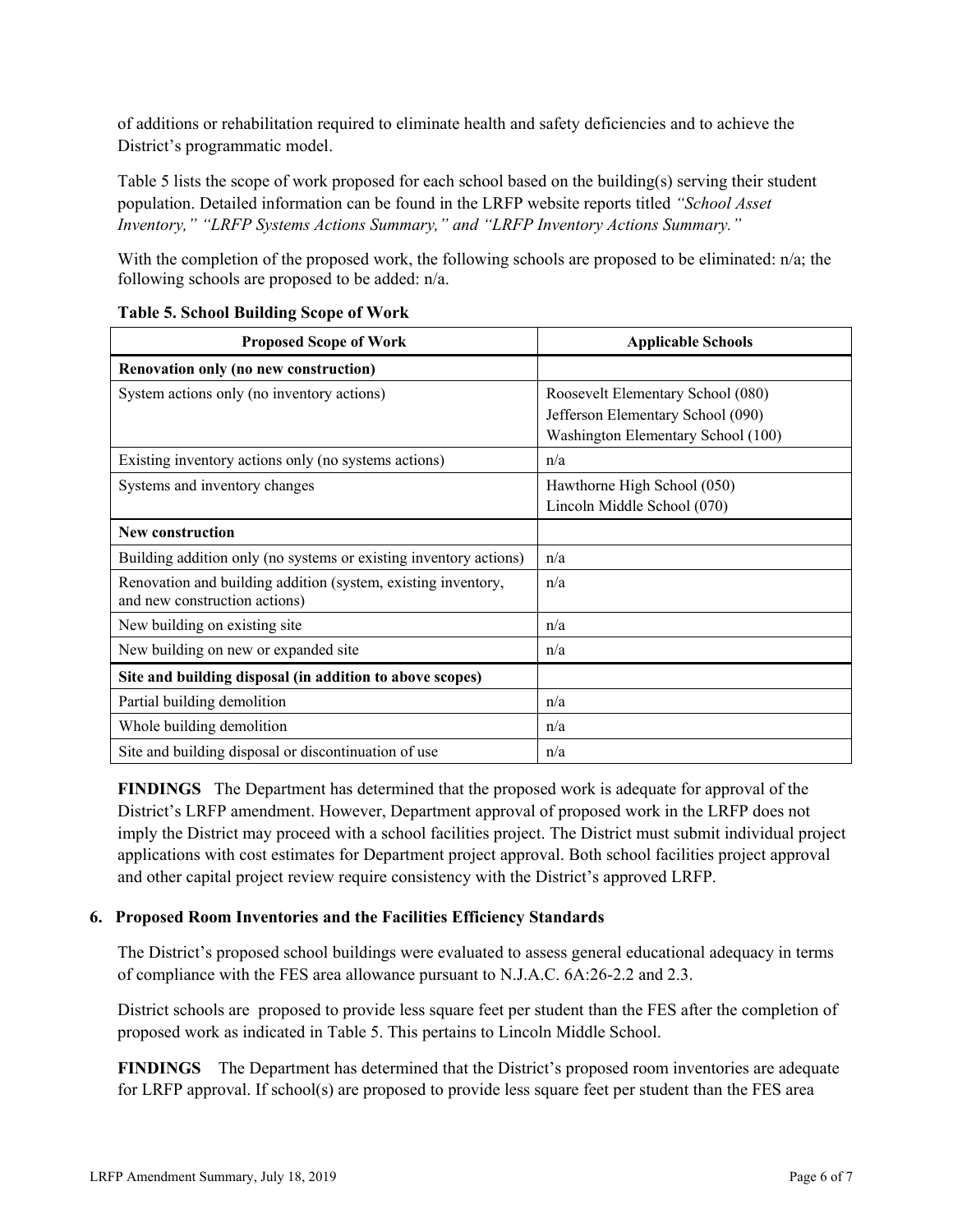of additions or rehabilitation required to eliminate health and safety deficiencies and to achieve the District's programmatic model.

Table 5 lists the scope of work proposed for each school based on the building(s) serving their student population. Detailed information can be found in the LRFP website reports titled *"School Asset Inventory," "LRFP Systems Actions Summary," and "LRFP Inventory Actions Summary."*

With the completion of the proposed work, the following schools are proposed to be eliminated:  $n/a$ ; the following schools are proposed to be added: n/a.

| <b>Proposed Scope of Work</b>                                                                  | <b>Applicable Schools</b>          |
|------------------------------------------------------------------------------------------------|------------------------------------|
| Renovation only (no new construction)                                                          |                                    |
| System actions only (no inventory actions)                                                     | Roosevelt Elementary School (080)  |
|                                                                                                | Jefferson Elementary School (090)  |
|                                                                                                | Washington Elementary School (100) |
| Existing inventory actions only (no systems actions)                                           | n/a                                |
| Systems and inventory changes                                                                  | Hawthorne High School (050)        |
|                                                                                                | Lincoln Middle School (070)        |
| <b>New construction</b>                                                                        |                                    |
| Building addition only (no systems or existing inventory actions)                              | n/a                                |
| Renovation and building addition (system, existing inventory,<br>and new construction actions) | n/a                                |
| New building on existing site                                                                  | n/a                                |
| New building on new or expanded site                                                           | n/a                                |
| Site and building disposal (in addition to above scopes)                                       |                                    |
| Partial building demolition                                                                    | n/a                                |
| Whole building demolition                                                                      | n/a                                |
| Site and building disposal or discontinuation of use                                           | n/a                                |

### **Table 5. School Building Scope of Work**

**FINDINGS** The Department has determined that the proposed work is adequate for approval of the District's LRFP amendment. However, Department approval of proposed work in the LRFP does not imply the District may proceed with a school facilities project. The District must submit individual project applications with cost estimates for Department project approval. Both school facilities project approval and other capital project review require consistency with the District's approved LRFP.

# **6. Proposed Room Inventories and the Facilities Efficiency Standards**

The District's proposed school buildings were evaluated to assess general educational adequacy in terms of compliance with the FES area allowance pursuant to N.J.A.C. 6A:26-2.2 and 2.3.

District schools are proposed to provide less square feet per student than the FES after the completion of proposed work as indicated in Table 5. This pertains to Lincoln Middle School.

**FINDINGS** The Department has determined that the District's proposed room inventories are adequate for LRFP approval. If school(s) are proposed to provide less square feet per student than the FES area